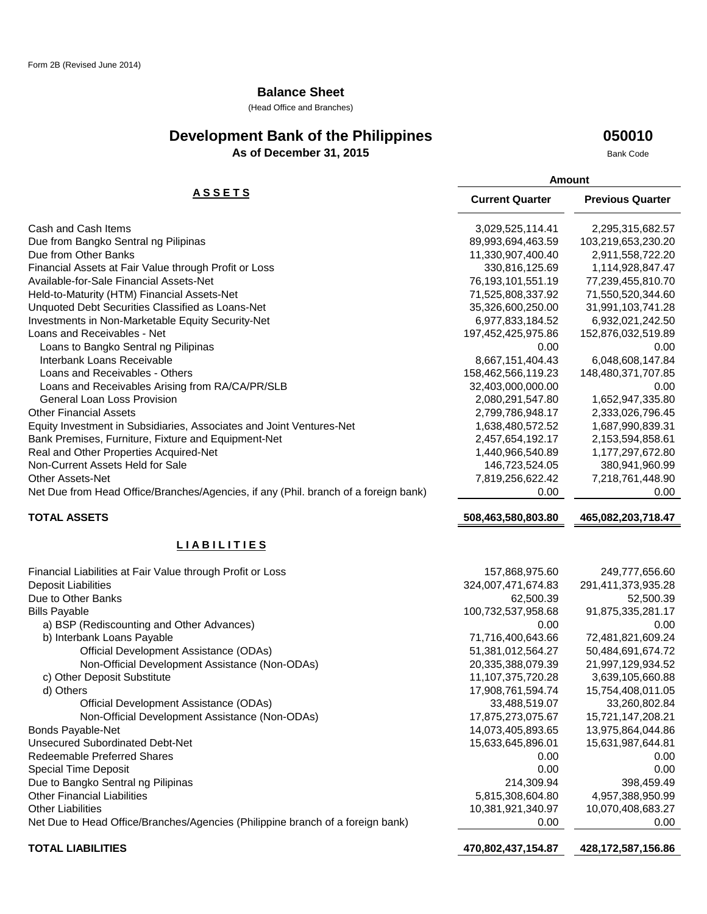# **Balance Sheet**

(Head Office and Branches)

# **Development Bank of the Philippines**

**As of December 31, 2015**

# **050010**

Bank Code

|                                                                                     | Amount                               |                                      |
|-------------------------------------------------------------------------------------|--------------------------------------|--------------------------------------|
| <b>ASSETS</b>                                                                       | <b>Current Quarter</b>               | <b>Previous Quarter</b>              |
| Cash and Cash Items                                                                 | 3,029,525,114.41                     | 2,295,315,682.57                     |
| Due from Bangko Sentral ng Pilipinas                                                | 89,993,694,463.59                    | 103,219,653,230.20                   |
| Due from Other Banks                                                                | 11,330,907,400.40                    | 2,911,558,722.20                     |
| Financial Assets at Fair Value through Profit or Loss                               | 330,816,125.69                       | 1,114,928,847.47                     |
| Available-for-Sale Financial Assets-Net                                             | 76,193,101,551.19                    | 77,239,455,810.70                    |
| Held-to-Maturity (HTM) Financial Assets-Net                                         | 71,525,808,337.92                    | 71,550,520,344.60                    |
| Unquoted Debt Securities Classified as Loans-Net                                    | 35,326,600,250.00                    | 31,991,103,741.28                    |
| Investments in Non-Marketable Equity Security-Net                                   | 6,977,833,184.52                     | 6,932,021,242.50                     |
| Loans and Receivables - Net                                                         | 197,452,425,975.86                   | 152,876,032,519.89                   |
| Loans to Bangko Sentral ng Pilipinas                                                | 0.00                                 | 0.00                                 |
| Interbank Loans Receivable                                                          | 8,667,151,404.43                     | 6,048,608,147.84                     |
| Loans and Receivables - Others                                                      | 158,462,566,119.23                   | 148,480,371,707.85                   |
| Loans and Receivables Arising from RA/CA/PR/SLB                                     | 32,403,000,000.00                    | 0.00                                 |
| General Loan Loss Provision                                                         | 2,080,291,547.80                     | 1,652,947,335.80                     |
| <b>Other Financial Assets</b>                                                       | 2,799,786,948.17                     | 2,333,026,796.45                     |
| Equity Investment in Subsidiaries, Associates and Joint Ventures-Net                | 1,638,480,572.52                     | 1,687,990,839.31                     |
| Bank Premises, Furniture, Fixture and Equipment-Net                                 | 2,457,654,192.17                     | 2,153,594,858.61                     |
| Real and Other Properties Acquired-Net                                              | 1,440,966,540.89                     | 1,177,297,672.80                     |
| Non-Current Assets Held for Sale                                                    | 146,723,524.05                       | 380,941,960.99                       |
| Other Assets-Net                                                                    | 7,819,256,622.42                     | 7,218,761,448.90                     |
| Net Due from Head Office/Branches/Agencies, if any (Phil. branch of a foreign bank) | 0.00                                 | 0.00                                 |
| <b>TOTAL ASSETS</b>                                                                 | 508,463,580,803.80                   | 465,082,203,718.47                   |
| <b>LIABILITIES</b>                                                                  |                                      |                                      |
|                                                                                     |                                      |                                      |
| Financial Liabilities at Fair Value through Profit or Loss                          | 157,868,975.60<br>324,007,471,674.83 | 249,777,656.60<br>291,411,373,935.28 |
| <b>Deposit Liabilities</b><br>Due to Other Banks                                    | 62,500.39                            | 52,500.39                            |
| <b>Bills Payable</b>                                                                | 100,732,537,958.68                   | 91,875,335,281.17                    |
| a) BSP (Rediscounting and Other Advances)                                           | 0.00                                 | 0.00                                 |
| b) Interbank Loans Payable                                                          | 71,716,400,643.66                    | 72,481,821,609.24                    |
| Official Development Assistance (ODAs)                                              | 51,381,012,564.27                    | 50,484,691,674.72                    |
| Non-Official Development Assistance (Non-ODAs)                                      | 20,335,388,079.39                    | 21,997,129,934.52                    |
| c) Other Deposit Substitute                                                         | 11,107,375,720.28                    | 3,639,105,660.88                     |
| d) Others                                                                           | 17,908,761,594.74                    | 15,754,408,011.05                    |
| Official Development Assistance (ODAs)                                              | 33,488,519.07                        | 33,260,802.84                        |
| Non-Official Development Assistance (Non-ODAs)                                      | 17,875,273,075.67                    | 15,721,147,208.21                    |
| <b>Bonds Payable-Net</b>                                                            | 14,073,405,893.65                    | 13,975,864,044.86                    |
| <b>Unsecured Subordinated Debt-Net</b>                                              | 15,633,645,896.01                    | 15,631,987,644.81                    |
| Redeemable Preferred Shares                                                         | 0.00                                 | 0.00                                 |
| <b>Special Time Deposit</b>                                                         | 0.00                                 | 0.00                                 |
| Due to Bangko Sentral ng Pilipinas                                                  | 214,309.94                           | 398,459.49                           |
| <b>Other Financial Liabilities</b>                                                  | 5,815,308,604.80                     | 4,957,388,950.99                     |
| <b>Other Liabilities</b>                                                            | 10,381,921,340.97                    | 10,070,408,683.27                    |
| Net Due to Head Office/Branches/Agencies (Philippine branch of a foreign bank)      | 0.00                                 | 0.00                                 |
| <b>TOTAL LIABILITIES</b>                                                            | 470,802,437,154.87                   | 428,172,587,156.86                   |
|                                                                                     |                                      |                                      |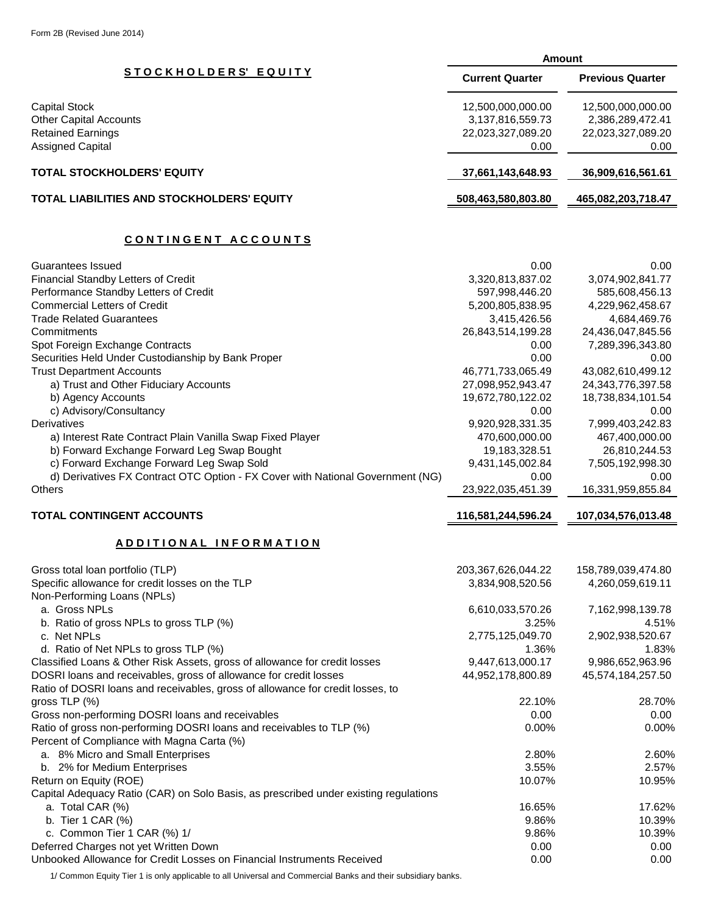| LUITT ZD (INGVISCU JUITG ZUT 4)                                                |                        |                         |
|--------------------------------------------------------------------------------|------------------------|-------------------------|
|                                                                                | Amount                 |                         |
| STOCKHOLDERS' EQUITY                                                           | <b>Current Quarter</b> | <b>Previous Quarter</b> |
| <b>Capital Stock</b>                                                           | 12,500,000,000.00      | 12,500,000,000.00       |
| <b>Other Capital Accounts</b>                                                  | 3,137,816,559.73       | 2,386,289,472.41        |
| <b>Retained Earnings</b>                                                       | 22,023,327,089.20      | 22,023,327,089.20       |
| <b>Assigned Capital</b>                                                        | 0.00                   | 0.00                    |
| <b>TOTAL STOCKHOLDERS' EQUITY</b>                                              | 37,661,143,648.93      | 36,909,616,561.61       |
| <b>TOTAL LIABILITIES AND STOCKHOLDERS' EQUITY</b>                              | 508,463,580,803.80     | 465,082,203,718.47      |
| CONTINGENT ACCOUNTS                                                            |                        |                         |
| Guarantees Issued                                                              | 0.00                   | 0.00                    |
| Financial Standby Letters of Credit                                            | 3,320,813,837.02       | 3,074,902,841.77        |
| Performance Standby Letters of Credit                                          | 597,998,446.20         | 585,608,456.13          |
| <b>Commercial Letters of Credit</b>                                            | 5,200,805,838.95       | 4,229,962,458.67        |
| <b>Trade Related Guarantees</b>                                                | 3,415,426.56           | 4,684,469.76            |
| Commitments                                                                    | 26,843,514,199.28      | 24,436,047,845.56       |
| Spot Foreign Exchange Contracts                                                | 0.00                   | 7,289,396,343.80        |
| Securities Held Under Custodianship by Bank Proper                             | 0.00                   | 0.00                    |
| <b>Trust Department Accounts</b>                                               | 46,771,733,065.49      | 43,082,610,499.12       |
| a) Trust and Other Fiduciary Accounts                                          | 27,098,952,943.47      | 24,343,776,397.58       |
| b) Agency Accounts                                                             | 19,672,780,122.02      | 18,738,834,101.54       |
| c) Advisory/Consultancy                                                        | 0.00                   | 0.00                    |
| Derivatives                                                                    | 9,920,928,331.35       | 7,999,403,242.83        |
| a) Interest Rate Contract Plain Vanilla Swap Fixed Player                      | 470,600,000.00         | 467,400,000.00          |
| b) Forward Exchange Forward Leg Swap Bought                                    | 19,183,328.51          | 26,810,244.53           |
| c) Forward Exchange Forward Leg Swap Sold                                      | 9,431,145,002.84       | 7,505,192,998.30        |
| d) Derivatives FX Contract OTC Option - FX Cover with National Government (NG) | 0.00                   | 0.00                    |
| <b>Others</b>                                                                  | 23,922,035,451.39      | 16,331,959,855.84       |
| <b>TOTAL CONTINGENT ACCOUNTS</b>                                               | 116,581,244,596.24     | 107,034,576,013.48      |
| ADDITIONAL INFORMATION                                                         |                        |                         |
| Gross total loan portfolio (TLP)                                               | 203, 367, 626, 044. 22 | 158,789,039,474.80      |
| Specific allowance for credit losses on the TLP                                | 3,834,908,520.56       | 4,260,059,619.11        |
| Non-Performing Loans (NPLs)                                                    |                        |                         |
| a. Gross NPLs                                                                  | 6,610,033,570.26       | 7,162,998,139.78        |
| b. Ratio of gross NPLs to gross TLP (%)                                        | 3.25%                  | 4.51%                   |
| c. Net NPLs                                                                    | 2,775,125,049.70       | 2,902,938,520.67        |
| d. Ratio of Net NPLs to gross TLP (%)                                          | 1.36%                  | 1.83%                   |
| Classified Loans & Other Risk Assets, gross of allowance for credit losses     | 9,447,613,000.17       | 9,986,652,963.96        |
| DOSRI loans and receivables, gross of allowance for credit losses              | 44,952,178,800.89      | 45,574,184,257.50       |
| Ratio of DOSRI loans and receivables, gross of allowance for credit losses, to |                        |                         |
| gross TLP (%)                                                                  | 22.10%                 | 28.70%                  |
| Gross non-performing DOSRI loans and receivables                               | 0.00                   | 0.00                    |
| Ratio of gross non-performing DOSRI loans and receivables to TLP (%)           | $0.00\%$               | 0.00%                   |
| Percent of Compliance with Magna Carta (%)                                     |                        |                         |
| a. 8% Micro and Small Enterprises                                              | 2.80%                  | 2.60%                   |
| b. 2% for Medium Enterprises                                                   | 3.55%                  | 2.57%                   |

Return on Equity (ROE) 10.95%

Capital Adequacy Ratio (CAR) on Solo Basis, as prescribed under existing regulations 16.65% 17.62% 9.86% 10.39% a. Total CAR (%)

9.86% 10.39%

 b. Tier 1 CAR (%) c. Common Tier 1 CAR (%) 1/

Deferred Charges not yet Written Down 0.00 0.00

Unbooked Allowance for Credit Losses on Financial Instruments Received 0.00 0.00 0.00 0.00 0.00

1/ Common Equity Tier 1 is only applicable to all Universal and Commercial Banks and their subsidiary banks.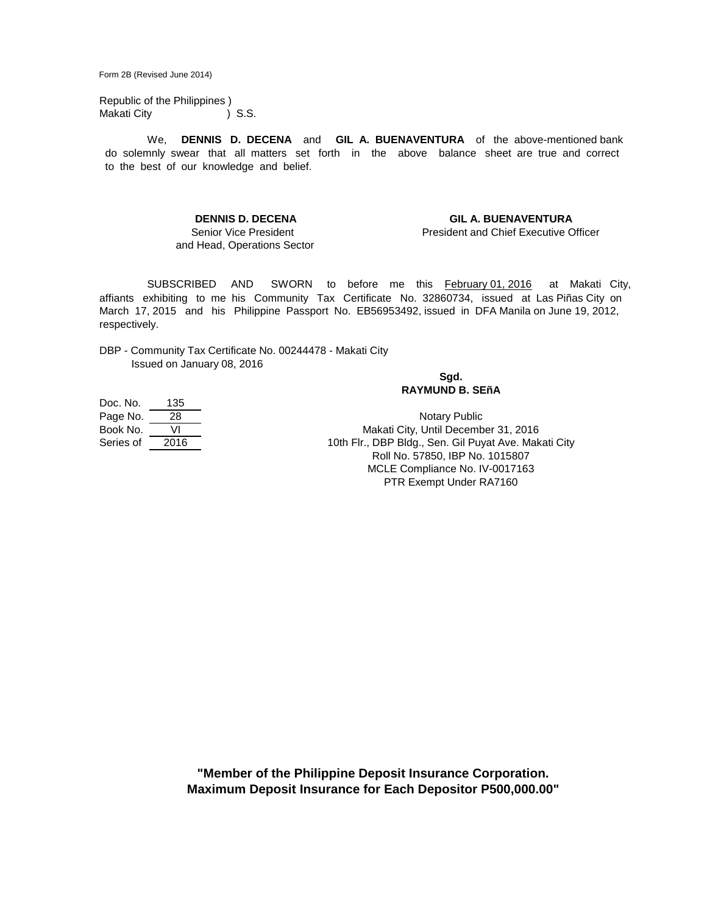Form 2B (Revised June 2014)

Republic of the Philippines ) Makati City **. 2008** (S.S.

We, **DENNIS D. DECENA** and **GIL A. BUENAVENTURA** of the above-mentioned bank to the best of our knowledge and belief. do solemnly swear that all matters set forth in the above balance sheet are true and correct

**DENNIS D. DECENA GIL A. BUENAVENTURA**

and Head, Operations Sector

#### Senior Vice President **President Access** President and Chief Executive Officer

SUBSCRIBED AND SWORN to before me this **February 01, 2016** at Makati City, affiants exhibiting to me his Community Tax Certificate No. 32860734, issued at Las Piñas City on March 17, 2015 and his Philippine Passport No. EB56953492, issued in DFA Manila on June 19, 2012, respectively.

DBP - Community Tax Certificate No. 00244478 - Makati City Issued on January 08, 2016

#### **Sgd. RAYMUND B. SEñA**

Doc. No. 135 Page No. 28 Book No. VI Series of 2016

Notary Public Makati City, Until December 31, 2016 10th Flr., DBP Bldg., Sen. Gil Puyat Ave. Makati City Roll No. 57850, IBP No. 1015807 MCLE Compliance No. IV-0017163 PTR Exempt Under RA7160

**"Member of the Philippine Deposit Insurance Corporation. Maximum Deposit Insurance for Each Depositor P500,000.00"**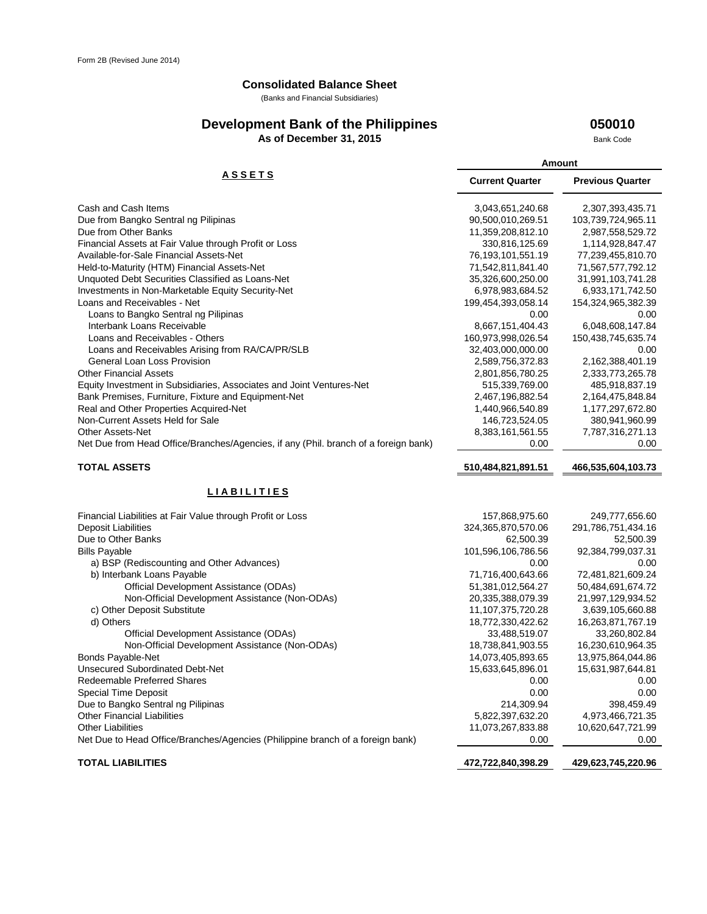# **Consolidated Balance Sheet**

(Banks and Financial Subsidiaries)

### **Development Bank of the Philippines As of December 31, 2015**

**050010**

Bank Code

|                                                                                     | Amount                 |                         |
|-------------------------------------------------------------------------------------|------------------------|-------------------------|
| <u>A S S E T S</u>                                                                  | <b>Current Quarter</b> | <b>Previous Quarter</b> |
| Cash and Cash Items                                                                 | 3,043,651,240.68       | 2,307,393,435.71        |
| Due from Bangko Sentral ng Pilipinas                                                | 90,500,010,269.51      | 103,739,724,965.11      |
| Due from Other Banks                                                                | 11,359,208,812.10      | 2,987,558,529.72        |
| Financial Assets at Fair Value through Profit or Loss                               | 330,816,125.69         | 1,114,928,847.47        |
| Available-for-Sale Financial Assets-Net                                             | 76, 193, 101, 551. 19  | 77,239,455,810.70       |
| Held-to-Maturity (HTM) Financial Assets-Net                                         | 71,542,811,841.40      | 71,567,577,792.12       |
| Unquoted Debt Securities Classified as Loans-Net                                    | 35,326,600,250.00      | 31,991,103,741.28       |
| Investments in Non-Marketable Equity Security-Net                                   | 6,978,983,684.52       | 6,933,171,742.50        |
| Loans and Receivables - Net                                                         | 199,454,393,058.14     | 154,324,965,382.39      |
| Loans to Bangko Sentral ng Pilipinas                                                | 0.00                   | 0.00                    |
| Interbank Loans Receivable                                                          | 8,667,151,404.43       | 6,048,608,147.84        |
| Loans and Receivables - Others                                                      | 160,973,998,026.54     | 150,438,745,635.74      |
| Loans and Receivables Arising from RA/CA/PR/SLB                                     | 32,403,000,000.00      | 0.00                    |
| General Loan Loss Provision                                                         | 2,589,756,372.83       | 2,162,388,401.19        |
| <b>Other Financial Assets</b>                                                       | 2,801,856,780.25       | 2,333,773,265.78        |
| Equity Investment in Subsidiaries, Associates and Joint Ventures-Net                | 515,339,769.00         | 485,918,837.19          |
| Bank Premises, Furniture, Fixture and Equipment-Net                                 | 2,467,196,882.54       | 2,164,475,848.84        |
| Real and Other Properties Acquired-Net                                              | 1,440,966,540.89       | 1,177,297,672.80        |
| Non-Current Assets Held for Sale                                                    | 146,723,524.05         | 380,941,960.99          |
| <b>Other Assets-Net</b>                                                             | 8,383,161,561.55       | 7,787,316,271.13        |
| Net Due from Head Office/Branches/Agencies, if any (Phil. branch of a foreign bank) | 0.00                   | 0.00                    |
| <b>TOTAL ASSETS</b>                                                                 | 510,484,821,891.51     | 466,535,604,103.73      |
| <b>LIABILITIES</b>                                                                  |                        |                         |
| Financial Liabilities at Fair Value through Profit or Loss                          | 157,868,975.60         | 249,777,656.60          |
| <b>Deposit Liabilities</b>                                                          | 324,365,870,570.06     | 291,786,751,434.16      |
| Due to Other Banks                                                                  | 62,500.39              | 52,500.39               |
| <b>Bills Payable</b>                                                                | 101,596,106,786.56     | 92,384,799,037.31       |
| a) BSP (Rediscounting and Other Advances)                                           | 0.00                   | 0.00                    |
| b) Interbank Loans Payable                                                          | 71,716,400,643.66      | 72,481,821,609.24       |
| Official Development Assistance (ODAs)                                              | 51,381,012,564.27      | 50,484,691,674.72       |
| Non-Official Development Assistance (Non-ODAs)                                      | 20,335,388,079.39      | 21,997,129,934.52       |
| c) Other Deposit Substitute                                                         | 11,107,375,720.28      | 3,639,105,660.88        |
| d) Others                                                                           | 18,772,330,422.62      | 16,263,871,767.19       |
| Official Development Assistance (ODAs)                                              | 33,488,519.07          | 33,260,802.84           |
| Non-Official Development Assistance (Non-ODAs)                                      | 18,738,841,903.55      | 16,230,610,964.35       |
| Bonds Payable-Net                                                                   | 14,073,405,893.65      | 13,975,864,044.86       |
| Unsecured Subordinated Debt-Net                                                     | 15,633,645,896.01      | 15,631,987,644.81       |
| Redeemable Preferred Shares                                                         | 0.00                   | 0.00                    |
| <b>Special Time Deposit</b>                                                         | 0.00                   | 0.00                    |
| Due to Bangko Sentral ng Pilipinas                                                  | 214,309.94             | 398,459.49              |
| <b>Other Financial Liabilities</b>                                                  | 5,822,397,632.20       | 4,973,466,721.35        |
| <b>Other Liabilities</b>                                                            | 11,073,267,833.88      | 10,620,647,721.99       |
| Net Due to Head Office/Branches/Agencies (Philippine branch of a foreign bank)      | 0.00                   | 0.00                    |
|                                                                                     |                        |                         |
| <b>TOTAL LIABILITIES</b>                                                            | 472,722,840,398.29     | 429,623,745,220.96      |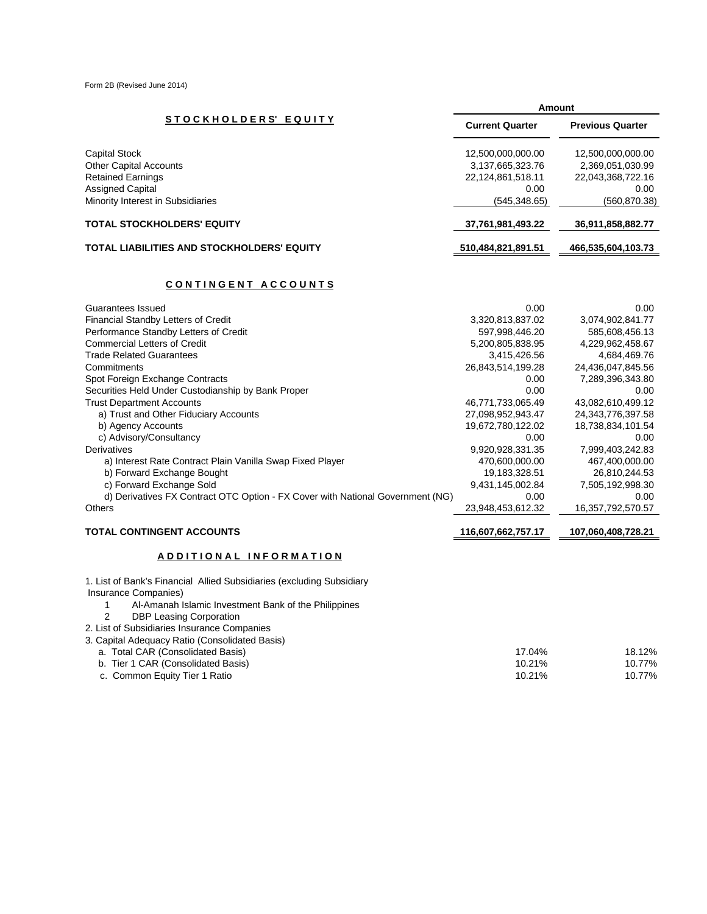|                                            |                        | Amount                  |  |
|--------------------------------------------|------------------------|-------------------------|--|
| <b>STOCKHOLDERS' EQUITY</b>                | <b>Current Quarter</b> | <b>Previous Quarter</b> |  |
| Capital Stock                              | 12,500,000,000.00      | 12,500,000,000.00       |  |
| Other Capital Accounts                     | 3,137,665,323.76       | 2,369,051,030.99        |  |
| <b>Retained Earnings</b>                   | 22,124,861,518.11      | 22,043,368,722.16       |  |
| Assigned Capital                           | 0.00                   | 0.00                    |  |
| Minority Interest in Subsidiaries          | (545, 348.65)          | (560,870.38)            |  |
| TOTAL STOCKHOLDERS' EQUITY                 | 37,761,981,493.22      | 36,911,858,882.77       |  |
| TOTAL LIABILITIES AND STOCKHOLDERS' EQUITY | 510,484,821,891.51     | 466,535,604,103.73      |  |

## **CONTINGENT ACCOUNTS**

| <b>Guarantees Issued</b>                                                       | 0.00               | 0.00                 |
|--------------------------------------------------------------------------------|--------------------|----------------------|
| Financial Standby Letters of Credit                                            | 3,320,813,837.02   | 3,074,902,841.77     |
| Performance Standby Letters of Credit                                          | 597,998,446.20     | 585,608,456.13       |
| <b>Commercial Letters of Credit</b>                                            | 5,200,805,838.95   | 4,229,962,458.67     |
| <b>Trade Related Guarantees</b>                                                | 3,415,426.56       | 4,684,469.76         |
| Commitments                                                                    | 26,843,514,199.28  | 24,436,047,845.56    |
| Spot Foreign Exchange Contracts                                                | 0.00               | 7,289,396,343.80     |
| Securities Held Under Custodianship by Bank Proper                             | 0.00               | 0.00                 |
| <b>Trust Department Accounts</b>                                               | 46,771,733,065.49  | 43,082,610,499.12    |
| a) Trust and Other Fiduciary Accounts                                          | 27,098,952,943.47  | 24, 343, 776, 397.58 |
| b) Agency Accounts                                                             | 19,672,780,122.02  | 18,738,834,101.54    |
| c) Advisory/Consultancy                                                        | 0.00               | 0.00                 |
| Derivatives                                                                    | 9,920,928,331.35   | 7,999,403,242.83     |
| a) Interest Rate Contract Plain Vanilla Swap Fixed Player                      | 470,600,000.00     | 467,400,000.00       |
| b) Forward Exchange Bought                                                     | 19,183,328.51      | 26,810,244.53        |
| c) Forward Exchange Sold                                                       | 9,431,145,002.84   | 7,505,192,998.30     |
| d) Derivatives FX Contract OTC Option - FX Cover with National Government (NG) | 0.00               | 0.00                 |
| <b>Others</b>                                                                  | 23,948,453,612.32  | 16,357,792,570.57    |
| <b>TOTAL CONTINGENT ACCOUNTS</b>                                               | 116,607,662,757.17 | 107,060,408,728.21   |
| ADDITIONAL INFORMATION                                                         |                    |                      |
|                                                                                |                    |                      |

1. List of Bank's Financial Allied Subsidiaries (excluding Subsidiary Insurance Companies)

1 Al-Amanah Islamic Investment Bank of the Philippines<br>2 DBP Leasing Corporation

DBP Leasing Corporation

2. List of Subsidiaries Insurance Companies

| 3. Capital Adequacy Ratio (Consolidated Basis) |        |        |
|------------------------------------------------|--------|--------|
| a. Total CAR (Consolidated Basis)              | 17.04% | 18.12% |
| b. Tier 1 CAR (Consolidated Basis)             | 10.21% | 10.77% |
| c. Common Equity Tier 1 Ratio                  | 10.21% | 10.77% |